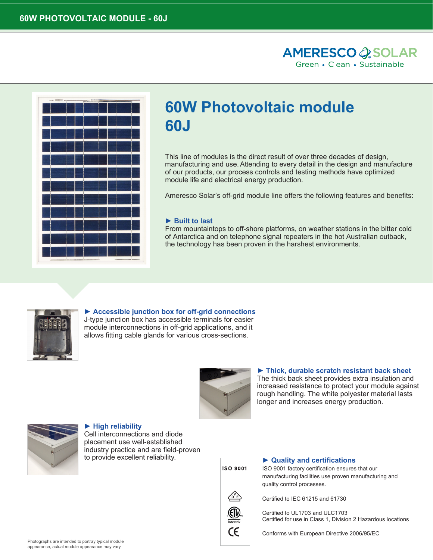



# **60W Photovoltaic module 60J**

This line of modules is the direct result of over three decades of design, manufacturing and use.Attending to every detail in the design and manufacture of our products, our process controls and testing methods have optimized module life and electrical energy production.

Ameresco Solar's off-grid module line offers the following features and benefits:

#### **► Built to last**

From mountaintops to off-shore platforms, on weather stations in the bitter cold of Antarctica and on telephone signal repeaters in the hot Australian outback, the technology has been proven in the harshest environments.



**► Accessible junction box for off-grid connections** J-type junction box has accessible terminals for easier

module interconnections in off-grid applications, and it allows fitting cable glands for various cross-sections.



**► High reliability**  Cell interconnections and diode placement use well-established industry practice and are field-proven to provide excellent reliability.



# **► Thick, durable scratch resistant back sheet**

The thick back sheet provides extra insulation and increased resistance to protect your module against rough handling. The white polyester material lasts longer and increases energy production.



#### **► Quality and certifications**

ISO 9001 factory certification ensures that our manufacturing facilities use proven manufacturing and quality control processes.



Certified to IEC 61215 and 61730

Certified to UL1703 and ULC1703 Certified for use in Class 1, Division 2 Hazardous locations

Conforms with European Directive 2006/95/EC